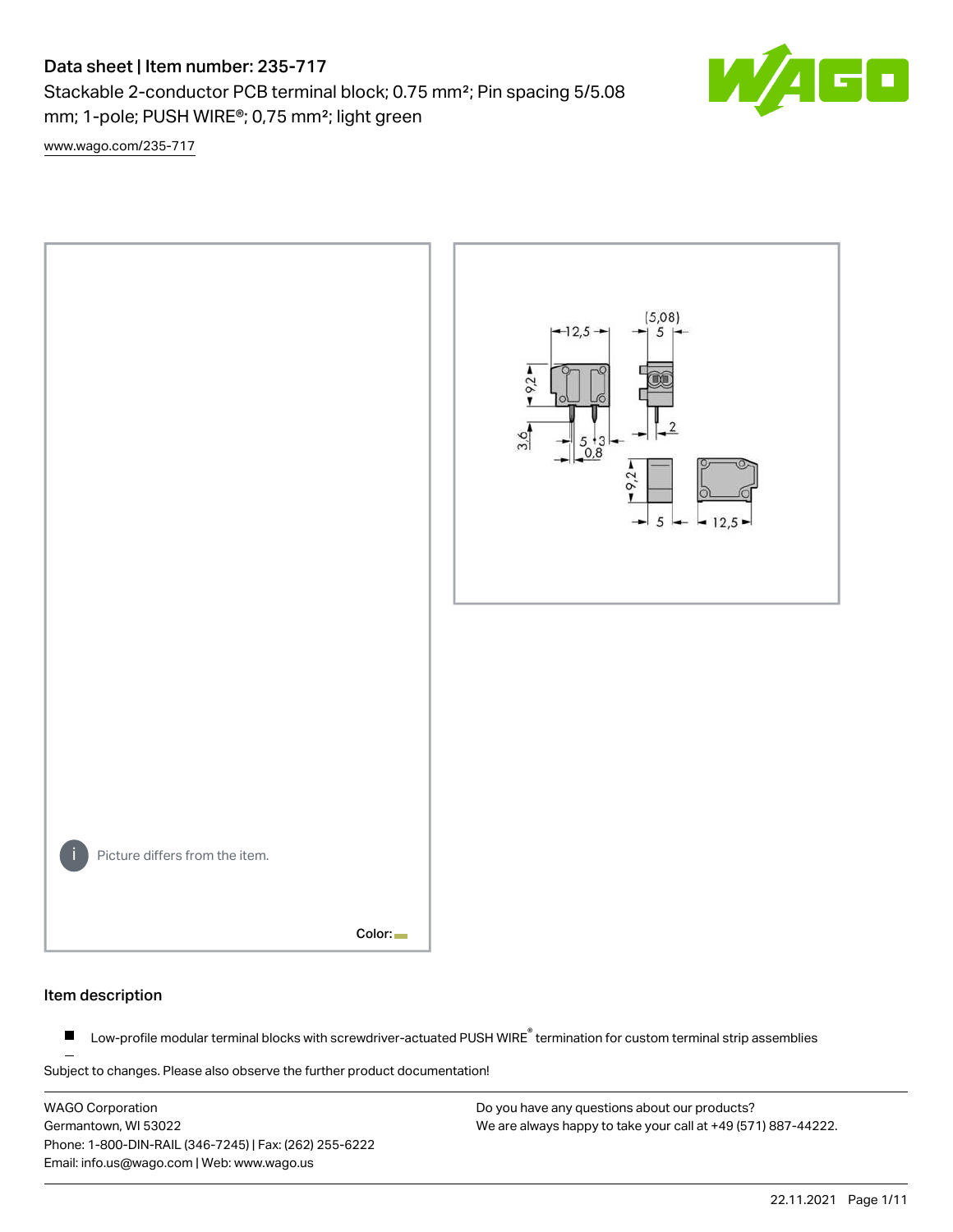# Data sheet | Item number: 235-717

Stackable 2-conductor PCB terminal block; 0.75 mm²; Pin spacing 5/5.08 mm; 1-pole; PUSH WIRE®; 0,75 mm²; light green

 $\blacksquare$ 

[www.wago.com/235-717](http://www.wago.com/235-717)



#### Item description

Low-profile modular terminal blocks with screwdriver-actuated PUSH WIRE<sup>®</sup> termination for custom terminal strip assemblies  $\blacksquare$ 

Subject to changes. Please also observe the further product documentation!

WAGO Corporation Germantown, WI 53022 Phone: 1-800-DIN-RAIL (346-7245) | Fax: (262) 255-6222 Email: info.us@wago.com | Web: www.wago.us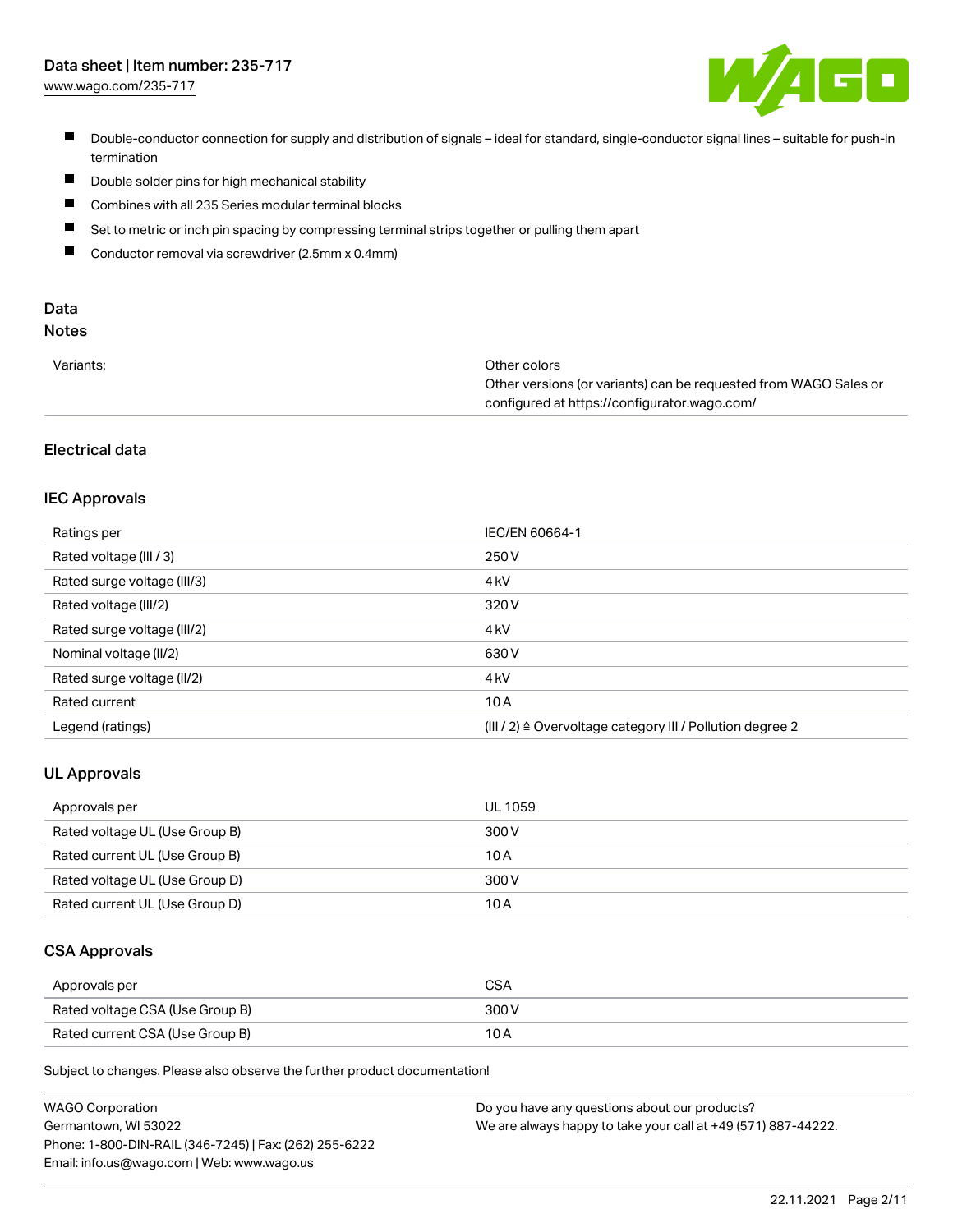

- Double-conductor connection for supply and distribution of signals ideal for standard, single-conductor signal lines suitable for push-in termination
- $\blacksquare$ Double solder pins for high mechanical stability
- $\blacksquare$ Combines with all 235 Series modular terminal blocks
- $\blacksquare$ Set to metric or inch pin spacing by compressing terminal strips together or pulling them apart
- $\blacksquare$ Conductor removal via screwdriver (2.5mm x 0.4mm)

# Data

# Notes

| Variants: | Other colors                                                     |
|-----------|------------------------------------------------------------------|
|           | Other versions (or variants) can be requested from WAGO Sales or |
|           | configured at https://configurator.wago.com/                     |

#### Electrical data

#### IEC Approvals

| Ratings per                 | IEC/EN 60664-1                                                        |
|-----------------------------|-----------------------------------------------------------------------|
| Rated voltage (III / 3)     | 250 V                                                                 |
| Rated surge voltage (III/3) | 4 <sub>kV</sub>                                                       |
| Rated voltage (III/2)       | 320 V                                                                 |
| Rated surge voltage (III/2) | 4 <sub>k</sub> V                                                      |
| Nominal voltage (II/2)      | 630 V                                                                 |
| Rated surge voltage (II/2)  | 4 <sub>k</sub> V                                                      |
| Rated current               | 10A                                                                   |
| Legend (ratings)            | $(III / 2)$ $\triangle$ Overvoltage category III / Pollution degree 2 |

#### UL Approvals

| Approvals per                  | UL 1059 |
|--------------------------------|---------|
| Rated voltage UL (Use Group B) | 300 V   |
| Rated current UL (Use Group B) | 10 A    |
| Rated voltage UL (Use Group D) | 300 V   |
| Rated current UL (Use Group D) | 10 A    |

#### CSA Approvals

| Approvals per                   | CSA   |
|---------------------------------|-------|
| Rated voltage CSA (Use Group B) | 300 V |
| Rated current CSA (Use Group B) |       |

Subject to changes. Please also observe the further product documentation!

| <b>WAGO Corporation</b>                                | Do you have any questions about our products?                 |
|--------------------------------------------------------|---------------------------------------------------------------|
| Germantown, WI 53022                                   | We are always happy to take your call at +49 (571) 887-44222. |
| Phone: 1-800-DIN-RAIL (346-7245)   Fax: (262) 255-6222 |                                                               |
| Email: info.us@wago.com   Web: www.wago.us             |                                                               |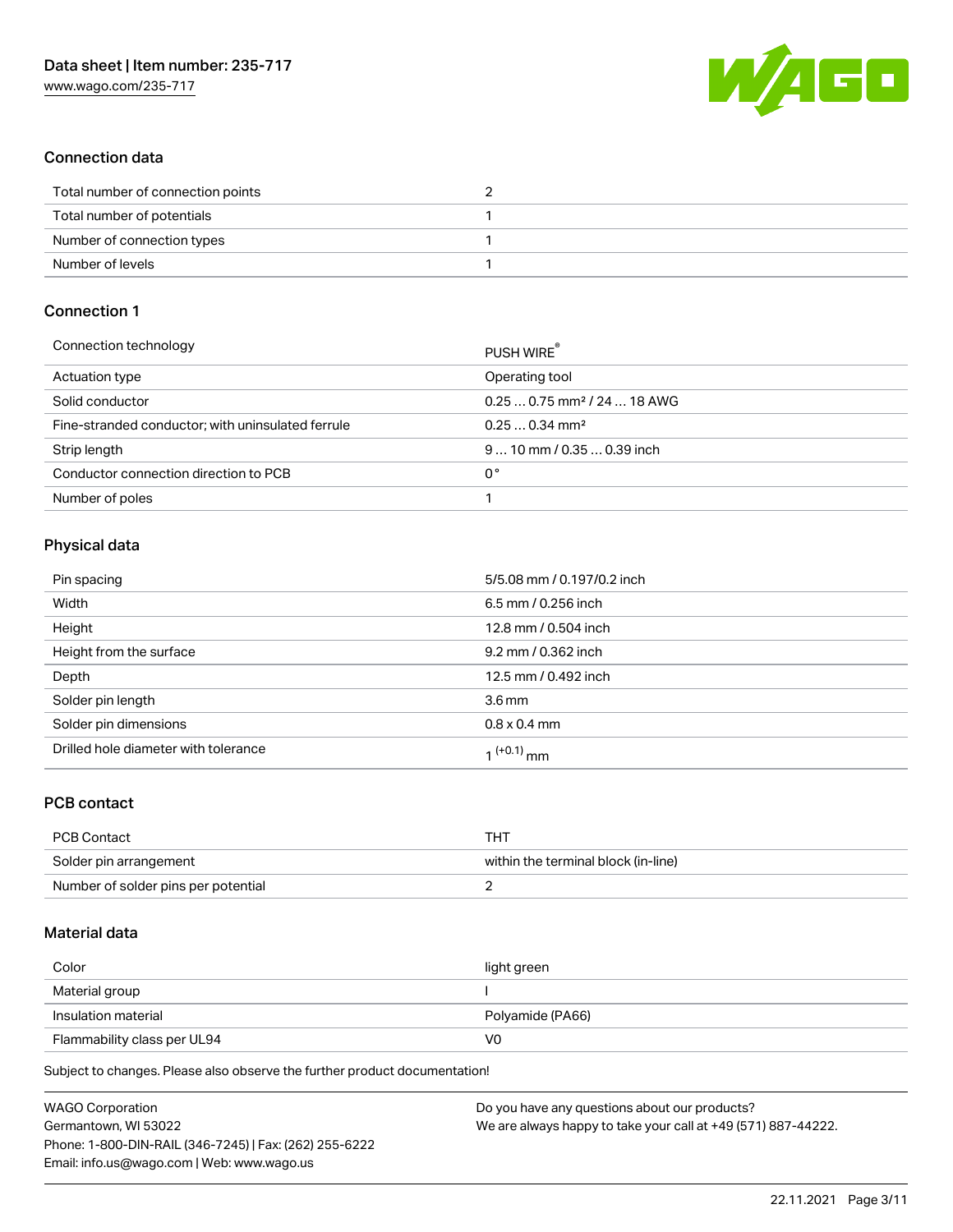

#### Connection data

| Total number of connection points |  |
|-----------------------------------|--|
| Total number of potentials        |  |
| Number of connection types        |  |
| Number of levels                  |  |

## Connection 1

| PUSH WIRE                               |
|-----------------------------------------|
| Operating tool                          |
| $0.250.75$ mm <sup>2</sup> / 24  18 AWG |
| $0.250.34$ mm <sup>2</sup>              |
| $910$ mm / 0.35  0.39 inch              |
| 0°                                      |
|                                         |
|                                         |

#### Physical data

| Pin spacing                          | 5/5.08 mm / 0.197/0.2 inch |
|--------------------------------------|----------------------------|
| Width                                | 6.5 mm / 0.256 inch        |
| Height                               | 12.8 mm / 0.504 inch       |
| Height from the surface              | 9.2 mm / 0.362 inch        |
| Depth                                | 12.5 mm / 0.492 inch       |
| Solder pin length                    | 3.6 <sub>mm</sub>          |
| Solder pin dimensions                | $0.8 \times 0.4$ mm        |
| Drilled hole diameter with tolerance | 1 <sup>(+0.1)</sup> mm     |

#### PCB contact

| PCB Contact                         | THI                                 |
|-------------------------------------|-------------------------------------|
| Solder pin arrangement              | within the terminal block (in-line) |
| Number of solder pins per potential |                                     |

#### Material data

| Color                       | light green      |
|-----------------------------|------------------|
| Material group              |                  |
| Insulation material         | Polyamide (PA66) |
| Flammability class per UL94 | VO               |

Subject to changes. Please also observe the further product documentation!

| <b>WAGO Corporation</b>                                | Do you have any questions about our products?                 |
|--------------------------------------------------------|---------------------------------------------------------------|
| Germantown, WI 53022                                   | We are always happy to take your call at +49 (571) 887-44222. |
| Phone: 1-800-DIN-RAIL (346-7245)   Fax: (262) 255-6222 |                                                               |
| Email: info.us@wago.com   Web: www.wago.us             |                                                               |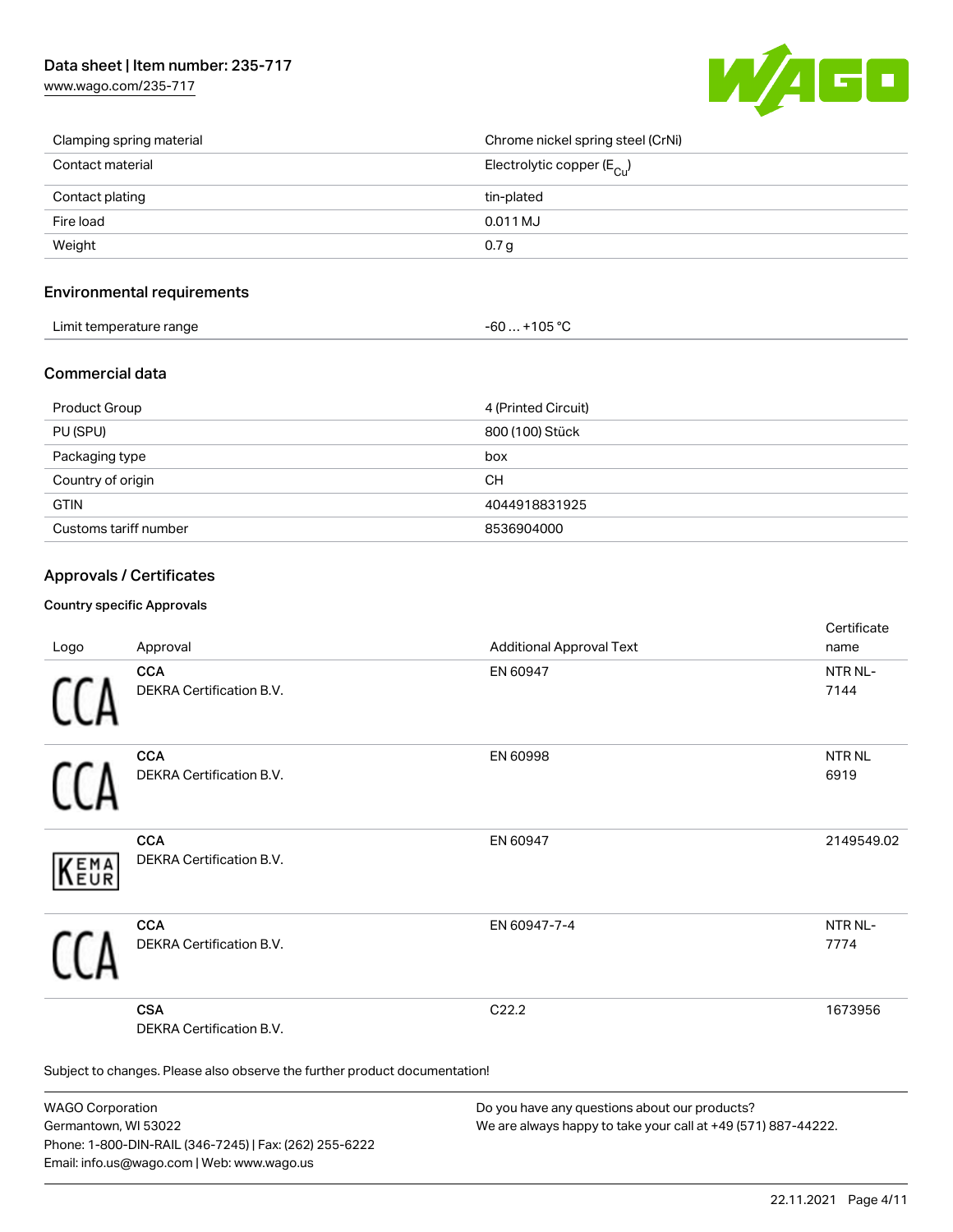[www.wago.com/235-717](http://www.wago.com/235-717)



| Clamping spring material | Chrome nickel spring steel (CrNi)       |
|--------------------------|-----------------------------------------|
| Contact material         | Electrolytic copper ( $E_{\text{Cu}}$ ) |
| Contact plating          | tin-plated                              |
| Fire load                | 0.011 MJ                                |
| Weight                   | 0.7 <sub>g</sub>                        |

#### Environmental requirements

| Limit temperature range | $-60+105 °C$ |
|-------------------------|--------------|
|-------------------------|--------------|

#### Commercial data

| Product Group         | 4 (Printed Circuit) |
|-----------------------|---------------------|
| PU (SPU)              | 800 (100) Stück     |
| Packaging type        | box                 |
| Country of origin     | CН                  |
| <b>GTIN</b>           | 4044918831925       |
| Customs tariff number | 8536904000          |

#### Approvals / Certificates

#### Country specific Approvals

| Logo                                                                       | Approval                                      | <b>Additional Approval Text</b> | Certificate<br>name         |
|----------------------------------------------------------------------------|-----------------------------------------------|---------------------------------|-----------------------------|
|                                                                            | <b>CCA</b><br>DEKRA Certification B.V.        | EN 60947                        | NTR <sub>NL</sub> -<br>7144 |
|                                                                            | <b>CCA</b><br>DEKRA Certification B.V.        | EN 60998                        | NTR NL<br>6919              |
| EMA                                                                        | <b>CCA</b><br>DEKRA Certification B.V.        | EN 60947                        | 2149549.02                  |
|                                                                            | <b>CCA</b><br>DEKRA Certification B.V.        | EN 60947-7-4                    | NTR NL-<br>7774             |
|                                                                            | <b>CSA</b><br><b>DEKRA Certification B.V.</b> | C <sub>22.2</sub>               | 1673956                     |
| Subject to changes. Please also observe the further product documentation! |                                               |                                 |                             |

WAGO Corporation Germantown, WI 53022 Phone: 1-800-DIN-RAIL (346-7245) | Fax: (262) 255-6222 Email: info.us@wago.com | Web: www.wago.us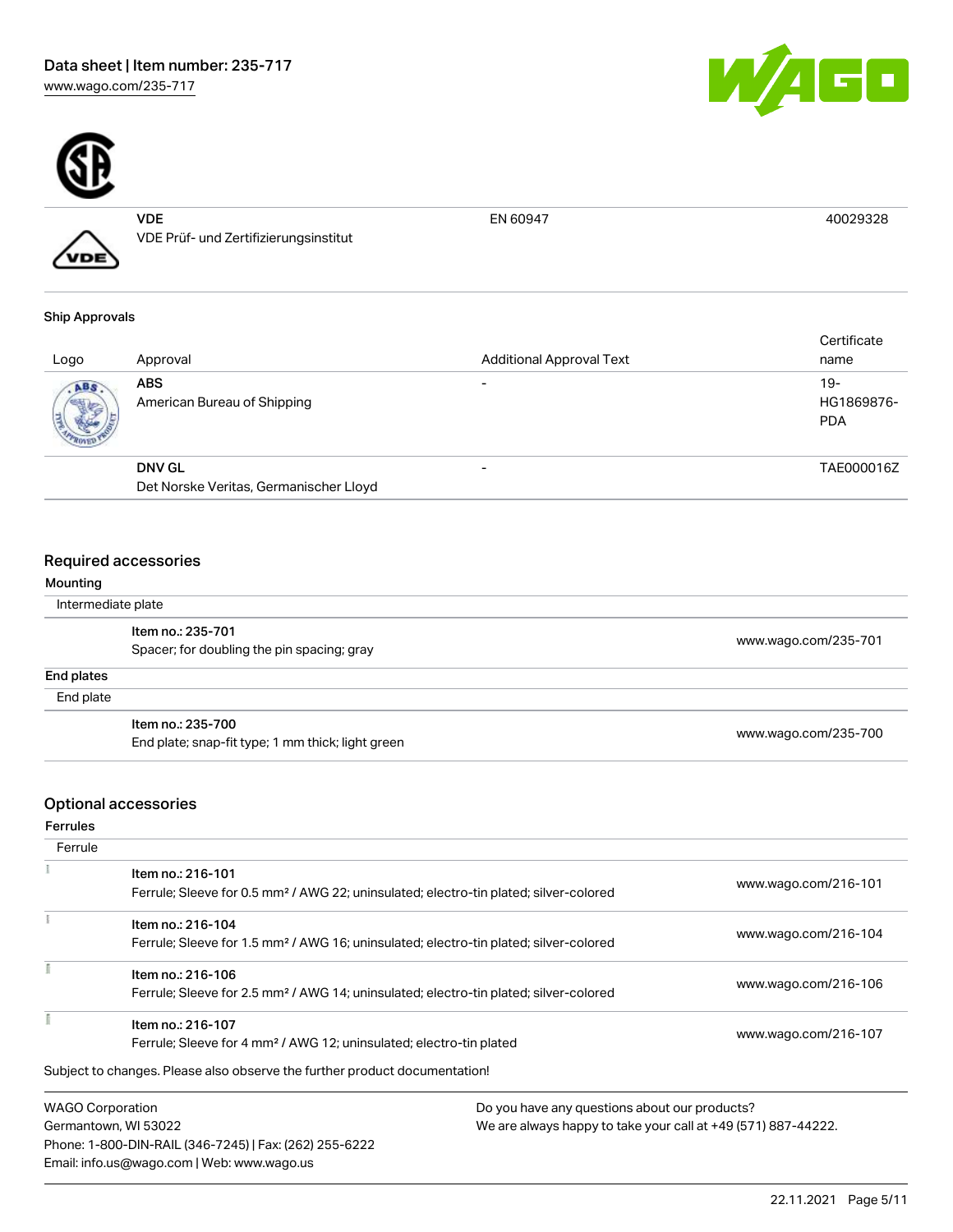



VDE VDE Prüf- und Zertifizierungsinstitut

EN 60947 40029328

# Ship Approvals

VDE

| Logo | Approval                                  | <b>Additional Approval Text</b> | Certificate<br>name                |
|------|-------------------------------------------|---------------------------------|------------------------------------|
| ABS. | <b>ABS</b><br>American Bureau of Shipping |                                 | $19 -$<br>HG1869876-<br><b>PDA</b> |
|      | <b>DNV GL</b>                             |                                 | TAE000016Z                         |
|      | Det Norske Veritas, Germanischer Lloyd    |                                 |                                    |

#### Required accessories

| Mounting           |                                                   |                      |
|--------------------|---------------------------------------------------|----------------------|
| Intermediate plate |                                                   |                      |
|                    | Item no.: 235-701                                 | www.wago.com/235-701 |
|                    | Spacer; for doubling the pin spacing; gray        |                      |
| End plates         |                                                   |                      |
| End plate          |                                                   |                      |
|                    | Item no.: 235-700                                 |                      |
|                    | End plate; snap-fit type; 1 mm thick; light green | www.wago.com/235-700 |

# Optional accessories

Ferrules

| Item no.: 216-101<br>Ferrule; Sleeve for 0.5 mm <sup>2</sup> / AWG 22; uninsulated; electro-tin plated; silver-colored |                      | www.wago.com/216-101                                                                                                                                                                                                                                                                                                                                                                                                     |  |
|------------------------------------------------------------------------------------------------------------------------|----------------------|--------------------------------------------------------------------------------------------------------------------------------------------------------------------------------------------------------------------------------------------------------------------------------------------------------------------------------------------------------------------------------------------------------------------------|--|
|                                                                                                                        |                      |                                                                                                                                                                                                                                                                                                                                                                                                                          |  |
| Item no.: 216-104                                                                                                      |                      | www.wago.com/216-104                                                                                                                                                                                                                                                                                                                                                                                                     |  |
|                                                                                                                        |                      |                                                                                                                                                                                                                                                                                                                                                                                                                          |  |
| Item no.: 216-106                                                                                                      |                      |                                                                                                                                                                                                                                                                                                                                                                                                                          |  |
|                                                                                                                        |                      | www.wago.com/216-106                                                                                                                                                                                                                                                                                                                                                                                                     |  |
| Item no.: 216-107                                                                                                      |                      |                                                                                                                                                                                                                                                                                                                                                                                                                          |  |
|                                                                                                                        | www.wago.com/216-107 |                                                                                                                                                                                                                                                                                                                                                                                                                          |  |
|                                                                                                                        |                      |                                                                                                                                                                                                                                                                                                                                                                                                                          |  |
| <b>WAGO Corporation</b>                                                                                                |                      |                                                                                                                                                                                                                                                                                                                                                                                                                          |  |
|                                                                                                                        |                      | Ferrule; Sleeve for 1.5 mm <sup>2</sup> / AWG 16; uninsulated; electro-tin plated; silver-colored<br>Ferrule; Sleeve for 2.5 mm <sup>2</sup> / AWG 14; uninsulated; electro-tin plated; silver-colored<br>Ferrule; Sleeve for 4 mm <sup>2</sup> / AWG 12; uninsulated; electro-tin plated<br>Subject to changes. Please also observe the further product documentation!<br>Do you have any questions about our products? |  |

Germantown, WI 53022 Phone: 1-800-DIN-RAIL (346-7245) | Fax: (262) 255-6222 Email: info.us@wago.com | Web: www.wago.us

We are always happy to take your call at +49 (571) 887-44222.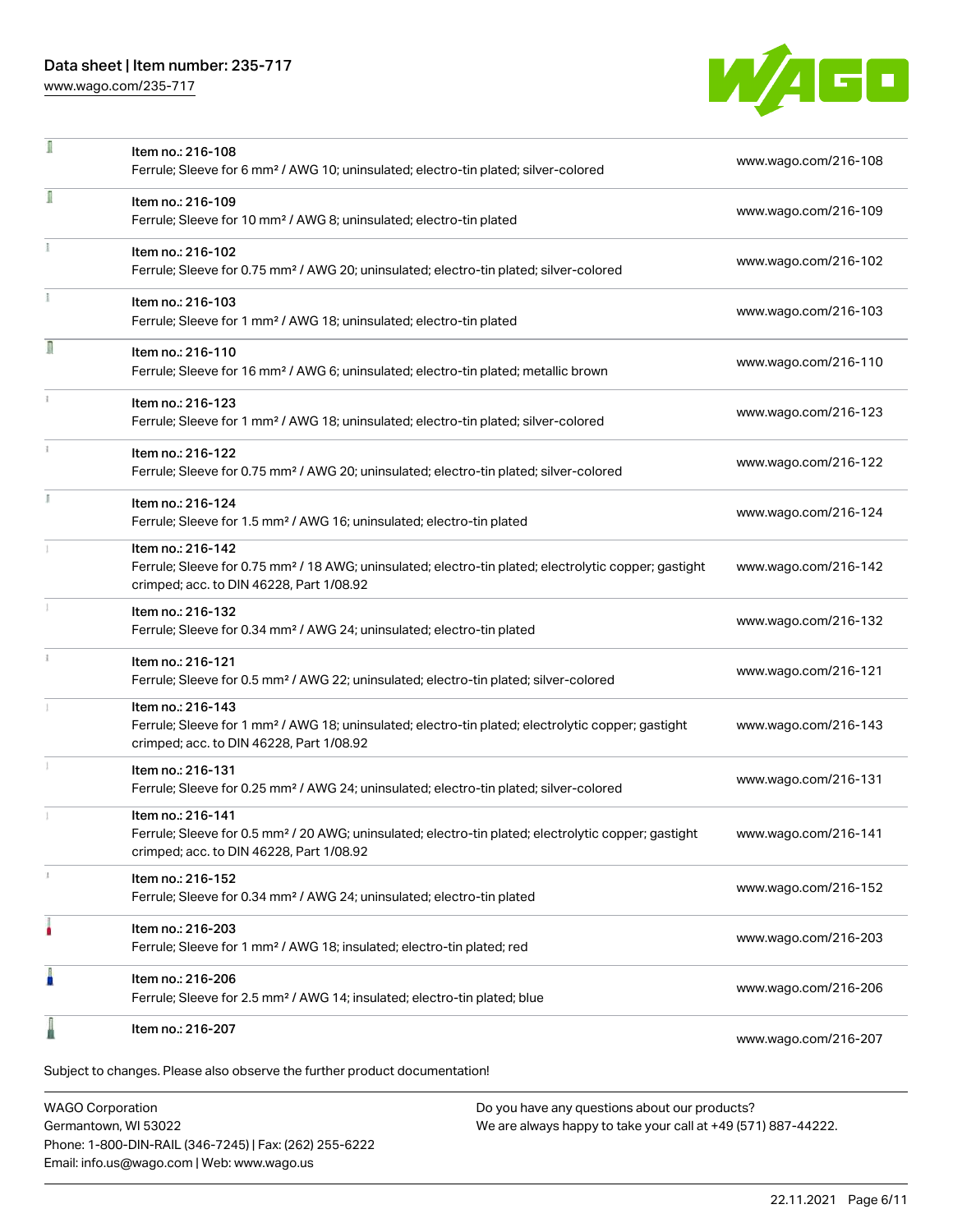## Data sheet | Item number: 235-717

[www.wago.com/235-717](http://www.wago.com/235-717)

×



| л  | Item no.: 216-108<br>Ferrule; Sleeve for 6 mm <sup>2</sup> / AWG 10; uninsulated; electro-tin plated; silver-colored                                                               | www.wago.com/216-108 |
|----|------------------------------------------------------------------------------------------------------------------------------------------------------------------------------------|----------------------|
| I  | Item no.: 216-109<br>Ferrule; Sleeve for 10 mm <sup>2</sup> / AWG 8; uninsulated; electro-tin plated                                                                               | www.wago.com/216-109 |
|    | Item no.: 216-102<br>Ferrule; Sleeve for 0.75 mm <sup>2</sup> / AWG 20; uninsulated; electro-tin plated; silver-colored                                                            | www.wago.com/216-102 |
|    | Item no.: 216-103<br>Ferrule; Sleeve for 1 mm <sup>2</sup> / AWG 18; uninsulated; electro-tin plated                                                                               | www.wago.com/216-103 |
| Л  | Item no.: 216-110<br>Ferrule; Sleeve for 16 mm <sup>2</sup> / AWG 6; uninsulated; electro-tin plated; metallic brown                                                               | www.wago.com/216-110 |
|    | Item no.: 216-123<br>Ferrule; Sleeve for 1 mm <sup>2</sup> / AWG 18; uninsulated; electro-tin plated; silver-colored                                                               | www.wago.com/216-123 |
|    | Item no.: 216-122<br>Ferrule; Sleeve for 0.75 mm <sup>2</sup> / AWG 20; uninsulated; electro-tin plated; silver-colored                                                            | www.wago.com/216-122 |
| I. | Item no.: 216-124<br>Ferrule; Sleeve for 1.5 mm <sup>2</sup> / AWG 16; uninsulated; electro-tin plated                                                                             | www.wago.com/216-124 |
|    | Item no.: 216-142<br>Ferrule; Sleeve for 0.75 mm <sup>2</sup> / 18 AWG; uninsulated; electro-tin plated; electrolytic copper; gastight<br>crimped; acc. to DIN 46228, Part 1/08.92 | www.wago.com/216-142 |
|    | Item no.: 216-132<br>Ferrule; Sleeve for 0.34 mm <sup>2</sup> / AWG 24; uninsulated; electro-tin plated                                                                            | www.wago.com/216-132 |
|    | Item no.: 216-121<br>Ferrule; Sleeve for 0.5 mm <sup>2</sup> / AWG 22; uninsulated; electro-tin plated; silver-colored                                                             | www.wago.com/216-121 |
|    | Item no.: 216-143<br>Ferrule; Sleeve for 1 mm <sup>2</sup> / AWG 18; uninsulated; electro-tin plated; electrolytic copper; gastight<br>crimped; acc. to DIN 46228, Part 1/08.92    | www.wago.com/216-143 |
|    | Item no.: 216-131<br>Ferrule; Sleeve for 0.25 mm <sup>2</sup> / AWG 24; uninsulated; electro-tin plated; silver-colored                                                            | www.wago.com/216-131 |
|    | Item no.: 216-141<br>Ferrule; Sleeve for 0.5 mm <sup>2</sup> / 20 AWG; uninsulated; electro-tin plated; electrolytic copper; gastight<br>crimped; acc. to DIN 46228, Part 1/08.92  | www.wago.com/216-141 |
|    | Item no.: 216-152<br>Ferrule; Sleeve for 0.34 mm <sup>2</sup> / AWG 24; uninsulated; electro-tin plated                                                                            | www.wago.com/216-152 |
|    | Item no.: 216-203<br>Ferrule; Sleeve for 1 mm <sup>2</sup> / AWG 18; insulated; electro-tin plated; red                                                                            | www.wago.com/216-203 |
| ľ  | Item no.: 216-206<br>Ferrule; Sleeve for 2.5 mm <sup>2</sup> / AWG 14; insulated; electro-tin plated; blue                                                                         | www.wago.com/216-206 |
|    | Item no.: 216-207                                                                                                                                                                  | www.wago.com/216-207 |
|    | Subject to changes. Please also observe the further product documentation!                                                                                                         |                      |

WAGO Corporation Germantown, WI 53022 Phone: 1-800-DIN-RAIL (346-7245) | Fax: (262) 255-6222 Email: info.us@wago.com | Web: www.wago.us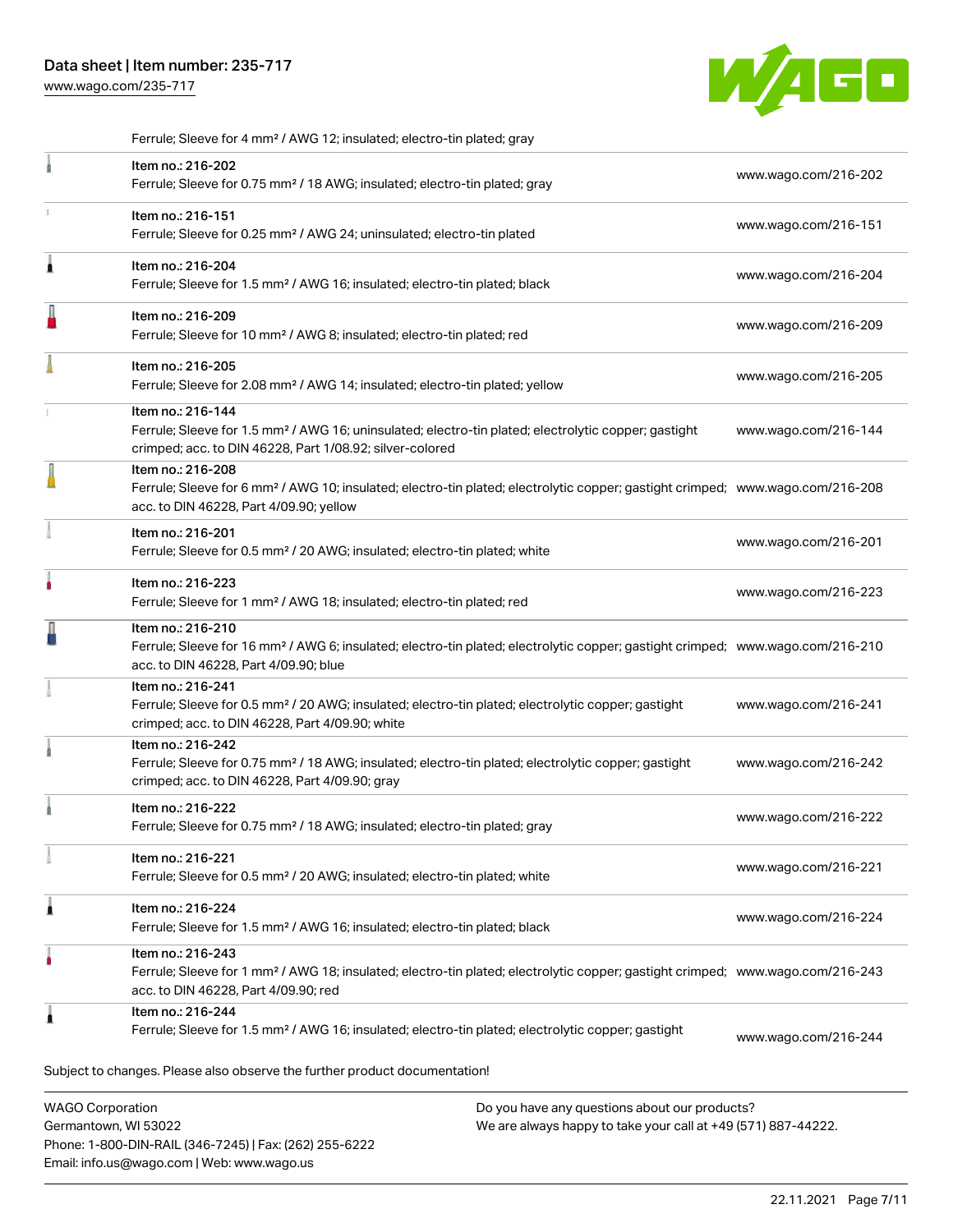Ferrule; Sleeve for 4 mm² / AWG 12; insulated; electro-tin plated; gray

Phone: 1-800-DIN-RAIL (346-7245) | Fax: (262) 255-6222

Email: info.us@wago.com | Web: www.wago.us

[www.wago.com/235-717](http://www.wago.com/235-717)



.<br>Subject to changes. Please also observe the further product documentation! WAGO Corporation Germantown, WI 53022 Do you have any questions about our products? We are always happy to take your call at +49 (571) 887-44222. Item no.: 216-202 Ferrule; Sleeve for 0.75 mm² / 18 AWG; insulated; electro-tin plated; gray [www.wago.com/216-202](http://www.wago.com/216-202) Item no.: 216-151 Ferrule; Sleeve for 0.25 mm² / AWG 24; uninsulated; electro-tin plated [www.wago.com/216-151](http://www.wago.com/216-151) Item no.: 216-204 Ferrule; Sleeve for 1.5 mm² / AWG 16; insulated; electro-tin plated; black [www.wago.com/216-204](http://www.wago.com/216-204) Item no.: 216-209 Ferrule; Sleeve for 10 mm² / AWG 8; insulated; electro-tin plated; red [www.wago.com/216-209](http://www.wago.com/216-209) Item no.: 216-205 Ferrule; Sleeve for 2.08 mm² / AWG 14; insulated; electro-tin plated; yellow [www.wago.com/216-205](http://www.wago.com/216-205) Item no.: 216-144 Ferrule; Sleeve for 1.5 mm² / AWG 16; uninsulated; electro-tin plated; electrolytic copper; gastight crimped; acc. to DIN 46228, Part 1/08.92; silver-colored [www.wago.com/216-144](http://www.wago.com/216-144) Item no.: 216-208 Ferrule; Sleeve for 6 mm² / AWG 10; insulated; electro-tin plated; electrolytic copper; gastight crimped; [www.wago.com/216-208](http://www.wago.com/216-208) acc. to DIN 46228, Part 4/09.90; yellow Item no.: 216-201 Ferrule; Sleeve for 0.5 mm² / 20 AWG; insulated; electro-tin plated; white [www.wago.com/216-201](http://www.wago.com/216-201) Item no.: 216-223 Ferrule; Sleeve for 1 mm² / AWG 18; insulated; electro-tin plated; red [www.wago.com/216-223](http://www.wago.com/216-223) Item no.: 216-210 Ferrule; Sleeve for 16 mm² / AWG 6; insulated; electro-tin plated; electrolytic copper; gastight crimped; [www.wago.com/216-210](http://www.wago.com/216-210) acc. to DIN 46228, Part 4/09.90; blue Item no.: 216-241 Ferrule; Sleeve for 0.5 mm² / 20 AWG; insulated; electro-tin plated; electrolytic copper; gastight crimped; acc. to DIN 46228, Part 4/09.90; white [www.wago.com/216-241](http://www.wago.com/216-241) Item no.: 216-242 Ferrule; Sleeve for 0.75 mm<sup>2</sup> / 18 AWG; insulated; electro-tin plated; electrolytic copper; gastight crimped; acc. to DIN 46228, Part 4/09.90; gray [www.wago.com/216-242](http://www.wago.com/216-242) Item no.: 216-222 Ferrule; Sleeve for 0.75 mm² / 18 AWG; insulated; electro-tin plated; gray [www.wago.com/216-222](http://www.wago.com/216-222) Item no.: 216-221 Ferrule; Sleeve for 0.5 mm² / 20 AWG; insulated; electro-tin plated; white [www.wago.com/216-221](http://www.wago.com/216-221) Item no.: 216-224 Ferrule; Sleeve for 1.5 mm² / AWG 16; insulated; electro-tin plated; black [www.wago.com/216-224](http://www.wago.com/216-224) Item no.: 216-243 Ferrule; Sleeve for 1 mm² / AWG 18; insulated; electro-tin plated; electrolytic copper; gastight crimped; [www.wago.com/216-243](http://www.wago.com/216-243) acc. to DIN 46228, Part 4/09.90; red Item no.: 216-244 Ferrule; Sleeve for 1.5 mm² / AWG 16; insulated; electro-tin plated; electrolytic copper; gastight [www.wago.com/216-244](http://www.wago.com/216-244)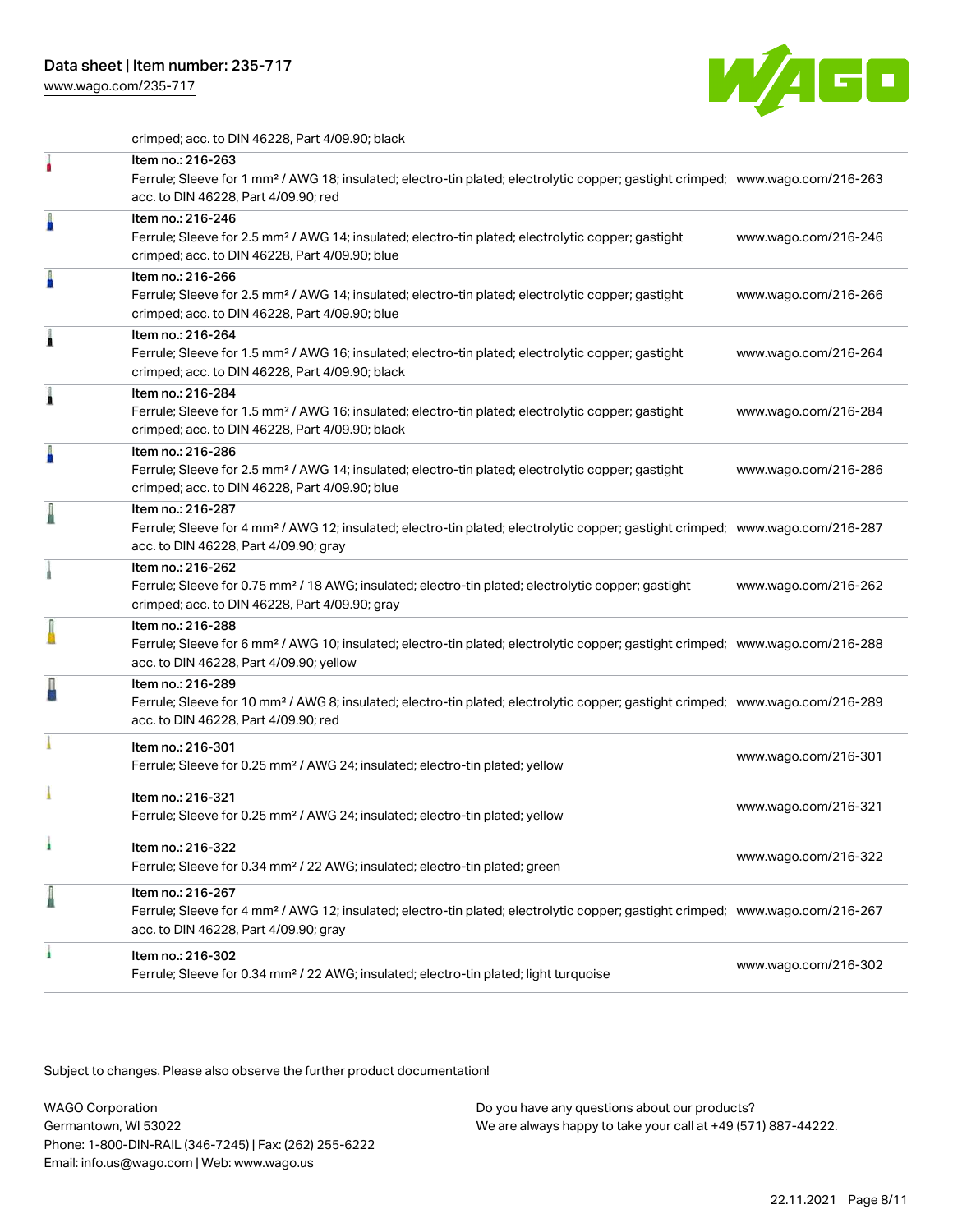[www.wago.com/235-717](http://www.wago.com/235-717)



crimped; acc. to DIN 46228, Part 4/09.90; black

|   | Item no.: 216-263<br>Ferrule; Sleeve for 1 mm <sup>2</sup> / AWG 18; insulated; electro-tin plated; electrolytic copper; gastight crimped; www.wago.com/216-263<br>acc. to DIN 46228, Part 4/09.90; red    |                      |
|---|------------------------------------------------------------------------------------------------------------------------------------------------------------------------------------------------------------|----------------------|
| A | Item no.: 216-246<br>Ferrule; Sleeve for 2.5 mm <sup>2</sup> / AWG 14; insulated; electro-tin plated; electrolytic copper; gastight<br>crimped; acc. to DIN 46228, Part 4/09.90; blue                      | www.wago.com/216-246 |
| A | Item no.: 216-266<br>Ferrule; Sleeve for 2.5 mm <sup>2</sup> / AWG 14; insulated; electro-tin plated; electrolytic copper; gastight<br>crimped; acc. to DIN 46228, Part 4/09.90; blue                      | www.wago.com/216-266 |
| ۸ | Item no.: 216-264<br>Ferrule; Sleeve for 1.5 mm <sup>2</sup> / AWG 16; insulated; electro-tin plated; electrolytic copper; gastight<br>crimped; acc. to DIN 46228, Part 4/09.90; black                     | www.wago.com/216-264 |
|   | Item no.: 216-284<br>Ferrule; Sleeve for 1.5 mm <sup>2</sup> / AWG 16; insulated; electro-tin plated; electrolytic copper; gastight<br>crimped; acc. to DIN 46228, Part 4/09.90; black                     | www.wago.com/216-284 |
| A | Item no.: 216-286<br>Ferrule; Sleeve for 2.5 mm <sup>2</sup> / AWG 14; insulated; electro-tin plated; electrolytic copper; gastight<br>crimped; acc. to DIN 46228, Part 4/09.90; blue                      | www.wago.com/216-286 |
|   | Item no.: 216-287<br>Ferrule; Sleeve for 4 mm <sup>2</sup> / AWG 12; insulated; electro-tin plated; electrolytic copper; gastight crimped; www.wago.com/216-287<br>acc. to DIN 46228, Part 4/09.90; gray   |                      |
|   | Item no.: 216-262<br>Ferrule; Sleeve for 0.75 mm <sup>2</sup> / 18 AWG; insulated; electro-tin plated; electrolytic copper; gastight<br>crimped; acc. to DIN 46228, Part 4/09.90; gray                     | www.wago.com/216-262 |
|   | Item no.: 216-288<br>Ferrule; Sleeve for 6 mm <sup>2</sup> / AWG 10; insulated; electro-tin plated; electrolytic copper; gastight crimped; www.wago.com/216-288<br>acc. to DIN 46228, Part 4/09.90; yellow |                      |
|   | Item no.: 216-289<br>Ferrule; Sleeve for 10 mm <sup>2</sup> / AWG 8; insulated; electro-tin plated; electrolytic copper; gastight crimped; www.wago.com/216-289<br>acc. to DIN 46228, Part 4/09.90; red    |                      |
|   | Item no.: 216-301<br>Ferrule; Sleeve for 0.25 mm <sup>2</sup> / AWG 24; insulated; electro-tin plated; yellow                                                                                              | www.wago.com/216-301 |
|   | Item no.: 216-321<br>Ferrule; Sleeve for 0.25 mm <sup>2</sup> / AWG 24; insulated; electro-tin plated; yellow                                                                                              | www.wago.com/216-321 |
|   | Item no.: 216-322<br>Ferrule; Sleeve for 0.34 mm <sup>2</sup> / 22 AWG; insulated; electro-tin plated; green                                                                                               | www.wago.com/216-322 |
|   | Item no.: 216-267<br>Ferrule; Sleeve for 4 mm <sup>2</sup> / AWG 12; insulated; electro-tin plated; electrolytic copper; gastight crimped; www.wago.com/216-267<br>acc. to DIN 46228, Part 4/09.90; gray   |                      |
| ۸ | Item no.: 216-302<br>Ferrule; Sleeve for 0.34 mm <sup>2</sup> / 22 AWG; insulated; electro-tin plated; light turquoise                                                                                     | www.wago.com/216-302 |

Subject to changes. Please also observe the further product documentation!

WAGO Corporation Germantown, WI 53022 Phone: 1-800-DIN-RAIL (346-7245) | Fax: (262) 255-6222 Email: info.us@wago.com | Web: www.wago.us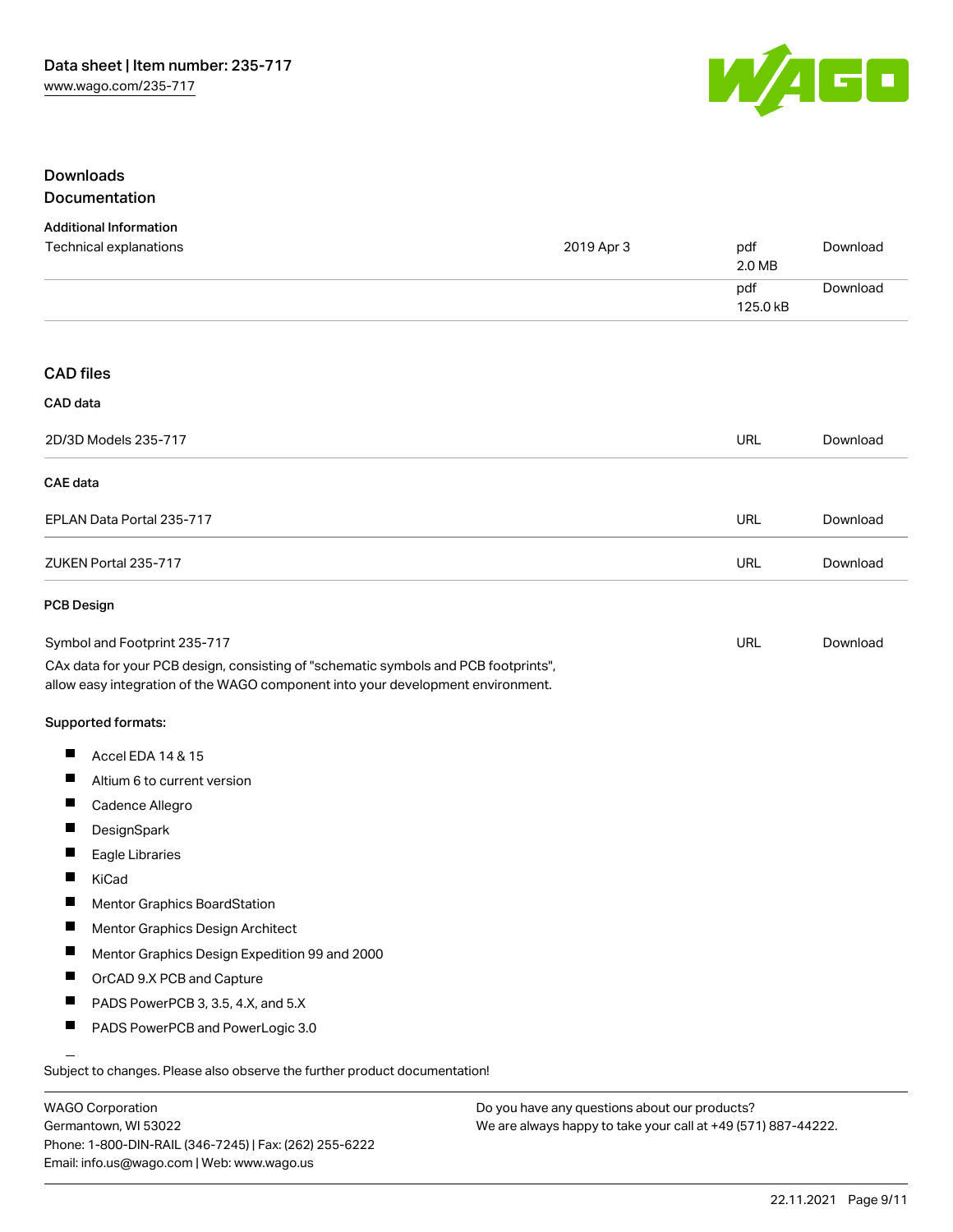

#### Downloads Documentation

| <b>Additional Information</b>                                                                                                                                          |            |                 |          |
|------------------------------------------------------------------------------------------------------------------------------------------------------------------------|------------|-----------------|----------|
| Technical explanations                                                                                                                                                 | 2019 Apr 3 | pdf<br>2.0 MB   | Download |
|                                                                                                                                                                        |            | pdf<br>125.0 kB | Download |
| <b>CAD files</b>                                                                                                                                                       |            |                 |          |
| CAD data                                                                                                                                                               |            |                 |          |
| 2D/3D Models 235-717                                                                                                                                                   |            | <b>URL</b>      | Download |
| <b>CAE</b> data                                                                                                                                                        |            |                 |          |
| EPLAN Data Portal 235-717                                                                                                                                              |            | URL             | Download |
| ZUKEN Portal 235-717                                                                                                                                                   |            | <b>URL</b>      | Download |
| PCB Design                                                                                                                                                             |            |                 |          |
| Symbol and Footprint 235-717                                                                                                                                           |            | <b>URL</b>      | Download |
| CAx data for your PCB design, consisting of "schematic symbols and PCB footprints",<br>allow easy integration of the WAGO component into your development environment. |            |                 |          |
| Supported formats:                                                                                                                                                     |            |                 |          |
| ш<br>Accel EDA 14 & 15                                                                                                                                                 |            |                 |          |
| ш<br>Altium 6 to current version                                                                                                                                       |            |                 |          |
| Cadence Allegro                                                                                                                                                        |            |                 |          |
| ш<br>DesignSpark                                                                                                                                                       |            |                 |          |
| Eagle Libraries                                                                                                                                                        |            |                 |          |
| KiCad                                                                                                                                                                  |            |                 |          |
| Mentor Graphics BoardStation                                                                                                                                           |            |                 |          |
| ш<br>Mentor Graphics Design Architect                                                                                                                                  |            |                 |          |
| Mentor Graphics Design Expedition 99 and 2000                                                                                                                          |            |                 |          |
| OrCAD 9.X PCB and Capture                                                                                                                                              |            |                 |          |
|                                                                                                                                                                        |            |                 |          |
| PADS PowerPCB 3, 3.5, 4.X, and 5.X                                                                                                                                     |            |                 |          |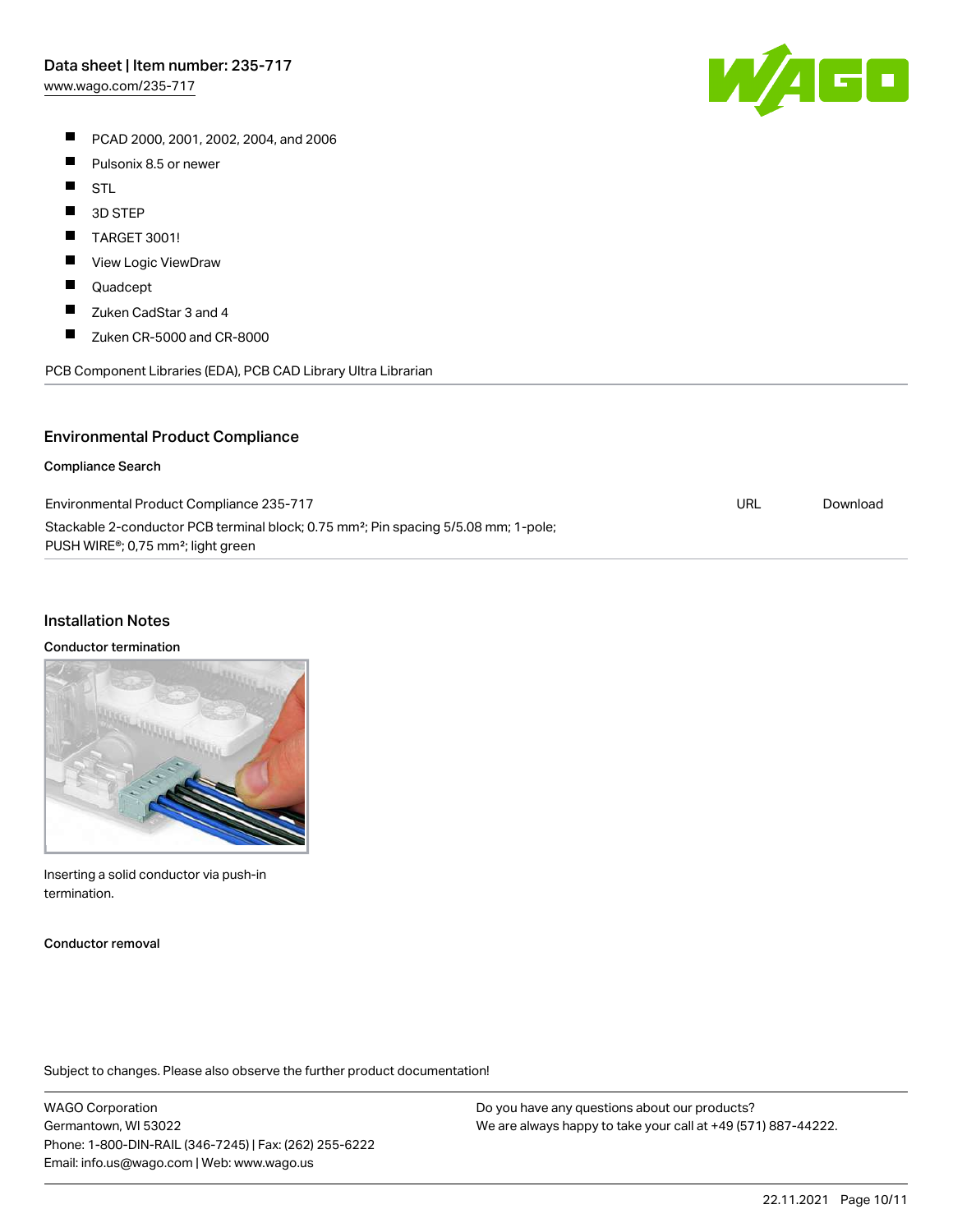PCAD 2000, 2001, 2002, 2004, and 2006

- $\blacksquare$ Pulsonix 8.5 or newer
- $\blacksquare$ STL
- $\blacksquare$ 3D STEP
- $\blacksquare$ TARGET 3001!
- $\blacksquare$ View Logic ViewDraw
- $\blacksquare$ Quadcept
- $\blacksquare$ Zuken CadStar 3 and 4
- $\blacksquare$ Zuken CR-5000 and CR-8000

PCB Component Libraries (EDA), PCB CAD Library Ultra Librarian

#### Environmental Product Compliance

#### Compliance Search

| Environmental Product Compliance 235-717                                                                                                                       | URL | Download |
|----------------------------------------------------------------------------------------------------------------------------------------------------------------|-----|----------|
| Stackable 2-conductor PCB terminal block; 0.75 mm <sup>2</sup> ; Pin spacing 5/5.08 mm; 1-pole;<br>PUSH WIRE <sup>®</sup> ; 0,75 mm <sup>2</sup> ; light green |     |          |

#### Installation Notes

#### Conductor termination

Inserting a solid conductor via push-in termination.

Conductor removal

Subject to changes. Please also observe the further product documentation!

WAGO Corporation Germantown, WI 53022 Phone: 1-800-DIN-RAIL (346-7245) | Fax: (262) 255-6222 Email: info.us@wago.com | Web: www.wago.us